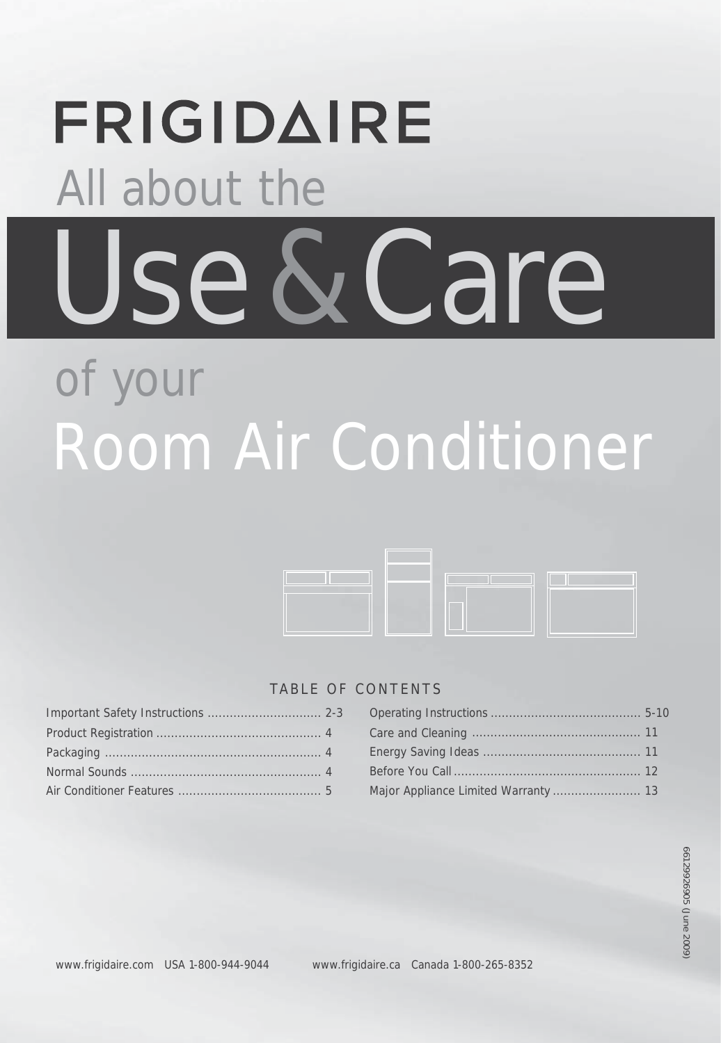# **FRIGIDAIRE**  All about the Use & Care of your

# Room Air Conditioner



# TABLE OF CONTENTS

## Care and Cleaning .............................................. 11 Energy Saving Ideas ........................................... 11 Important Safety Instructions ............................... 2-3 O ......................................... perating Instructions 5-10 Before You Call ................................................... 12 Major Appliance Limited Warranty .............................. 13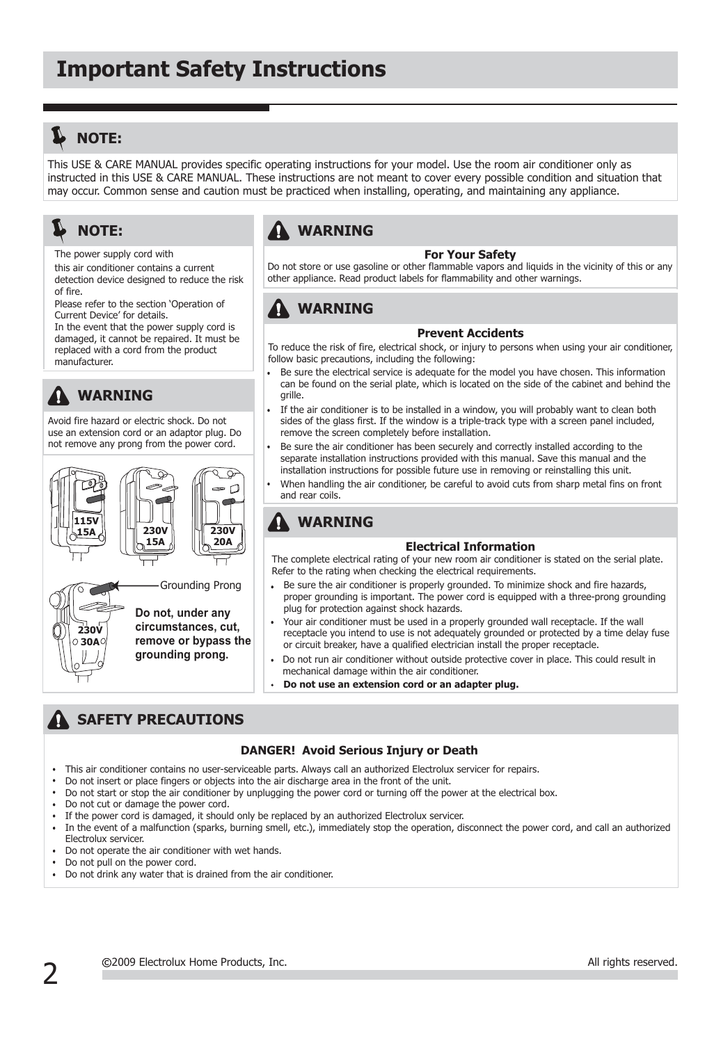# **L** NOTE:

This USE & CARE MANUAL provides specific operating instructions for your model. Use the room air conditioner only as instructed in this USE & CARE MANUAL. These instructions are not meant to cover every possible condition and situation that may occur. Common sense and caution must be practiced when installing, operating, and maintaining any appliance.

# **NOTE:**

The power supply cord with

this air conditioner contains a current detection device designed to reduce the risk of fire.

Please refer to the section 'Operation of Current Device' for details.

In the event that the power supply cord is damaged, it cannot be repaired. It must be replaced with a cord from the product manufacturer.

# **WARNING**

Avoid fire hazard or electric shock. Do not use an extension cord or an adaptor plug. Do not remove any prong from the power cord.





Grounding Prong

**Do not, under any circumstances, cut, remove or bypass the grounding prong.**

# **WARNING**

#### **For Your Safety**

Do not store or use gasoline or other flammable vapors and liquids in the vicinity of this or any other appliance. Read product labels for flammability and other warnings.

# **WARNING**

#### **Prevent Accidents**

To reduce the risk of fire, electrical shock, or injury to persons when using your air conditioner, follow basic precautions, including the following:

- Be sure the electrical service is adequate for the model you have chosen. This information can be found on the serial plate, which is located on the side of the cabinet and behind the grille.
- If the air conditioner is to be installed in a window, you will probably want to clean both sides of the glass first. If the window is a triple-track type with a screen panel included, remove the screen completely before installation.
- Be sure the air conditioner has been securely and correctly installed according to the separate installation instructions provided with this manual. Save this manual and the installation instructions for possible future use in removing or reinstalling this unit.
- When handling the air conditioner, be careful to avoid cuts from sharp metal fins on front and rear coils.

#### **WARNING** 41

#### **Electrical Information**

The complete electrical rating of your new room air conditioner is stated on the serial plate. Refer to the rating when checking the electrical requirements.

- Be sure the air conditioner is properly grounded. To minimize shock and fire hazards, proper grounding is important. The power cord is equipped with a three-prong grounding plug for protection against shock hazards.
- Your air conditioner must be used in a properly grounded wall receptacle. If the wall receptacle you intend to use is not adequately grounded or protected by a time delay fuse or circuit breaker, have a qualified electrician install the proper receptacle.
- Do not run air conditioner without outside protective cover in place. This could result in mechanical damage within the air conditioner.
- **Do not use an extension cord or an adapter plug.**

# **SAFETY PRECAUTIONS**

#### **DANGER! Avoid Serious Injury or Death**

- This air conditioner contains no user-serviceable parts. Always call an authorized Electrolux servicer for repairs.
- Do not insert or place fingers or objects into the air discharge area in the front of the unit.
- Do not start or stop the air conditioner by unplugging the power cord or turning off the power at the electrical box.
- Do not cut or damage the power cord.
- If the power cord is damaged, it should only be replaced by an authorized Electrolux servicer.
- In the event of a malfunction (sparks, burning smell, etc.), immediately stop the operation, disconnect the power cord, and call an authorized Electrolux servicer.
- Do not operate the air conditioner with wet hands.
- Do not pull on the power cord.
- Do not drink any water that is drained from the air conditioner.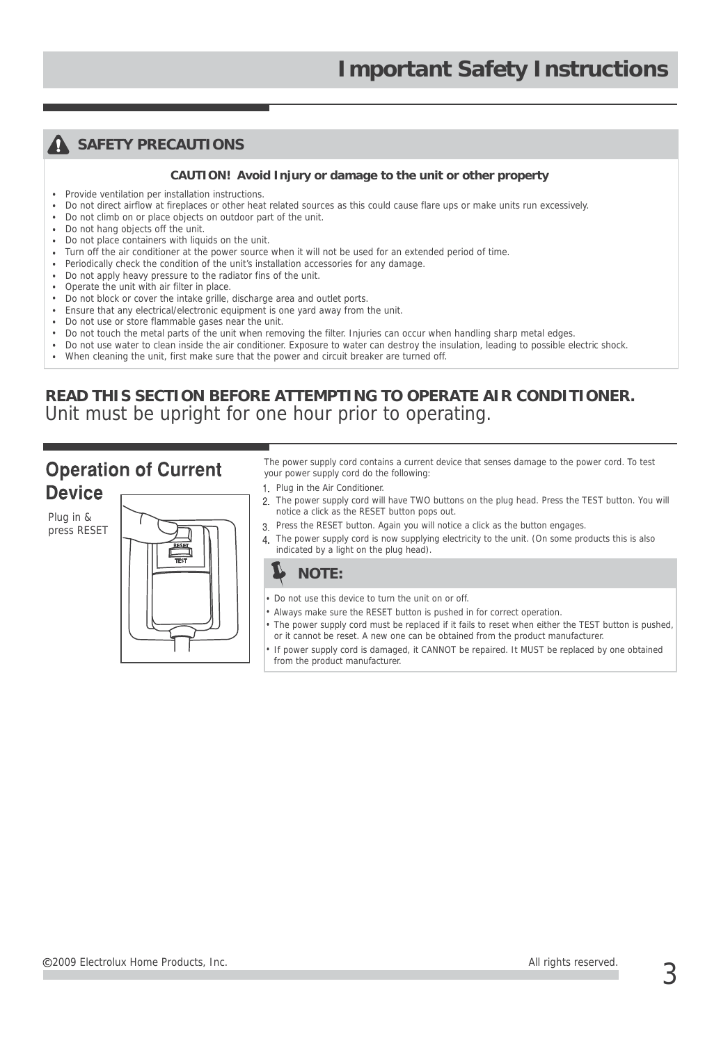## **A** SAFETY PRECAUTIONS

#### **CAUTION! Avoid Injury or damage to the unit or other property**

- Provide ventilation per installation instructions.
- Do not direct airflow at fireplaces or other heat related sources as this could cause flare ups or make units run excessively.
- Do not climb on or place objects on outdoor part of the unit.
- Do not hang objects off the unit  $\ddot{\phantom{a}}$
- . Do not place containers with liquids on the unit.
- Turn off the air conditioner at the power source when it will not be used for an extended period of time.
- Periodically check the condition of the unit's installation accessories for any damage.
- . Do not apply heavy pressure to the radiator fins of the unit.
- Operate the unit with air filter in place.
- Do not block or cover the intake grille, discharge area and outlet ports.
- Ensure that any electrical/electronic equipment is one yard away from the unit.
- Do not use or store flammable gases near the unit.
- Do not touch the metal parts of the unit when removing the filter. Injuries can occur when handling sharp metal edges.
- Do not use water to clean inside the air conditioner. Exposure to water can destroy the insulation, leading to possible electric shock.
- When cleaning the unit, first make sure that the power and circuit breaker are turned off.

## **READ THIS SECTION BEFORE ATTEMPTING TO OPERATE AIR CONDITIONER.** Unit must be upright for one hour prior to operating.

# **Operation of Current Device**

Plug in & press RESET



The power supply cord contains a current device that senses damage to the power cord. To test your power supply cord do the following:

- 1. Plug in the Air Conditioner.
- 2. The power supply cord will have TWO buttons on the plug head. Press the TEST button. You will notice a click as the RESET button pops out.
- Press the RESET button. Again you will notice a click as the button engages.
- 4. The power supply cord is now supplying electricity to the unit. (On some products this is also indicated by a light on the plug head).



- Do not use this device to turn the unit on or off.
- Always make sure the RESET button is pushed in for correct operation.
- The power supply cord must be replaced if it fails to reset when either the TEST button is pushed, or it cannot be reset. A new one can be obtained from the product manufacturer.
- If power supply cord is damaged, it CANNOT be repaired. It MUST be replaced by one obtained from the product manufacturer.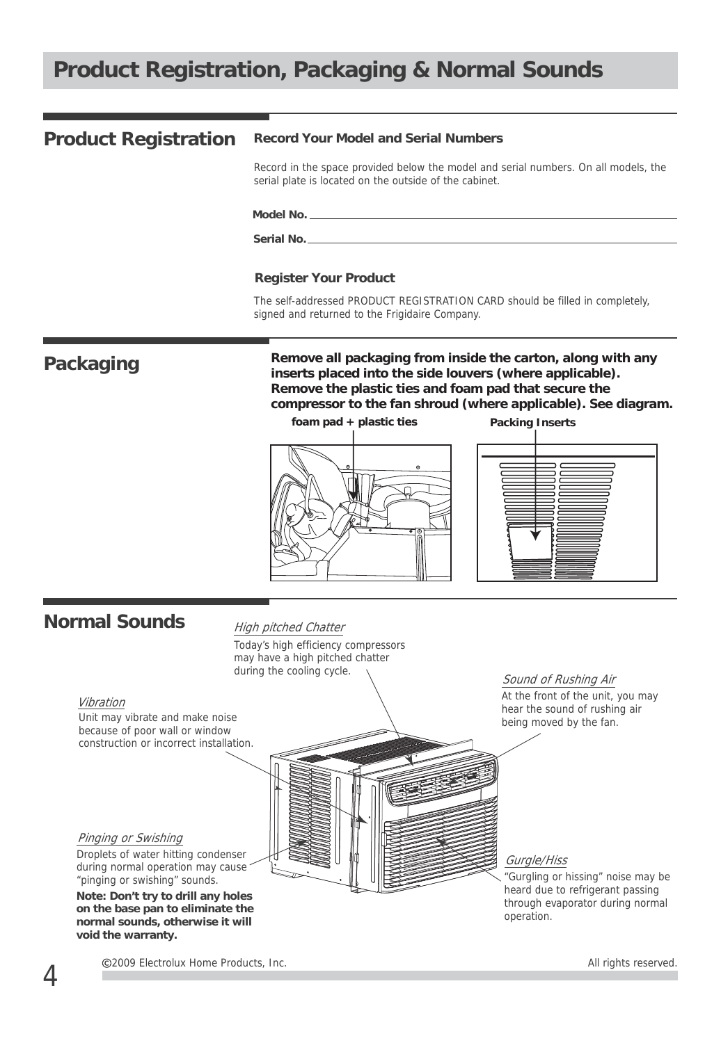# **Product Registration, Packaging & Normal Sounds**

#### **Record Your Model and Serial Numbers Product Registration**

Record in the space provided below the model and serial numbers. On all models, the serial plate is located on the outside of the cabinet.

#### **Model No.**

**Serial No.**

#### **Register Your Product**

The self-addressed PRODUCT REGISTRATION CARD should be filled in completely, signed and returned to the Frigidaire Company.

**Packaging**

**Remove all packaging from inside the carton, along with any inserts placed into the side louvers (where applicable). Remove the plastic ties and foam pad that secure the compressor to the fan shroud (where applicable). See diagram.** 





# **Normal Sounds**

#### High pitched Chatter

Today's high efficiency compressors may have a high pitched chatter during the cooling cycle.

#### Vibration

Unit may vibrate and make noise because of poor wall or window construction or incorrect installation.

Pinging or Swishing Droplets of water hitting condenser during normal operation may cause

"pinging or swishing" sounds. **Note: Don't try to drill any holes on the base pan to eliminate the normal sounds, otherwise it will void the warranty.**

Sound of Rushing Air

At the front of the unit, you may hear the sound of rushing air being moved by the fan.

#### Gurgle/Hiss

"Gurgling or hissing" noise may be heard due to refrigerant passing through evaporator during normal operation.

C2009 Electrolux Home Products, Inc. All rights reserved.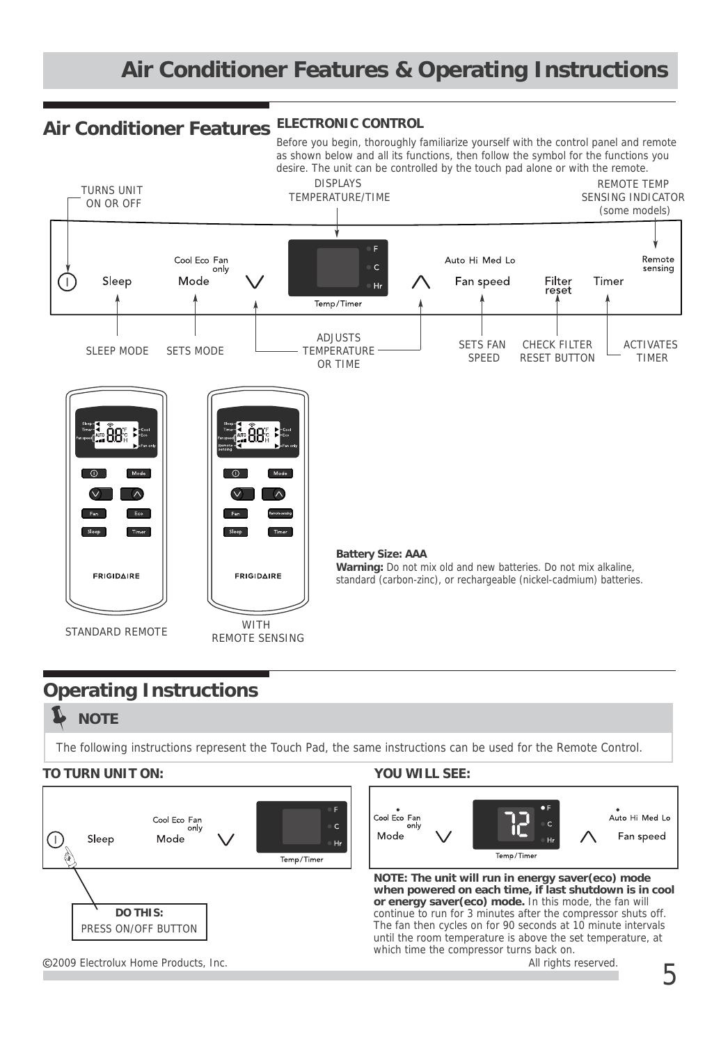# **Air Conditioner Features & Operating Instructions**

# **ELECTRONIC CONTROL Air Conditioner Features**

Before you begin, thoroughly familiarize yourself with the control panel and remote as shown below and all its functions, then follow the symbol for the functions you desire. The unit can be controlled by the touch pad alone or with the remote.



# **Operating Instructions**

#### L **NOTE**

The following instructions represent the Touch Pad, the same instructions can be used for the Remote Control.

#### **TO TURN UNIT ON: YOU WILL SEE:**





**NOTE: The unit will run in energy saver(eco) mode when powered on each time, if last shutdown is in cool or energy saver(eco) mode.** In this mode, the fan will continue to run for 3 minutes after the compressor shuts off. The fan then cycles on for 90 seconds at 10 minute intervals until the room temperature is above the set temperature, at which time the compressor turns back on.

C2009 Electrolux Home Products, Inc. All rights reserved.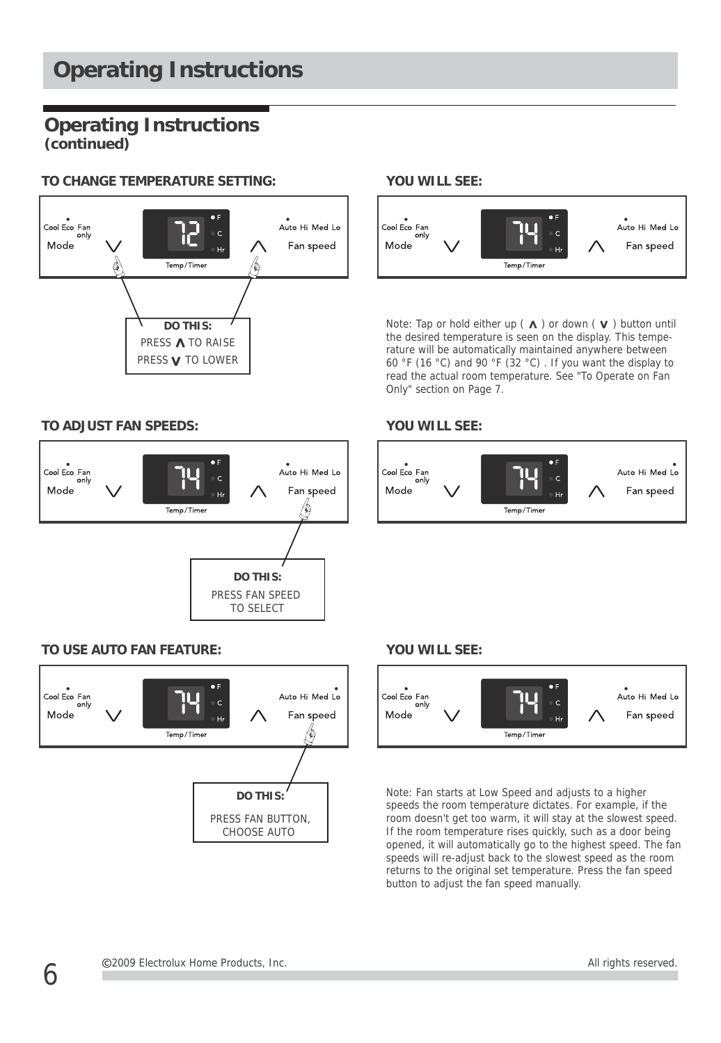#### **TO CHANGE TEMPERATURE SETTlNG:**



#### **TO ADJUST FAN SPEEDS: YOU WILL SEE:**



### **TO USE AUTO FAN FEATURE:**



### **YOU WILL SEE:**



**DO THIS:** Note: Tap or hold either up ( $\Lambda$ ) or down ( $V$ ) button until the desired temperature is seen on the display. This temperature will be automatically maintained anywhere between 60 °F (16 °C) and 90 °F (32 °C) . If you want the display to read the actual room temperature. See "To Operate on Fan Only" section on Page 7.



#### **YOU WILL SEE:**



Note: Fan starts at Low Speed and adjusts to a higher speeds the room temperature dictates. For example, if the room doesn't get too warm, it will stay at the slowest speed. If the room temperature rises quickly, such as a door being opened, it will automatically go to the highest speed. The fan speeds will re-adjust back to the slowest speed as the room returns to the original set temperature. Press the fan speed button to adjust the fan speed manually.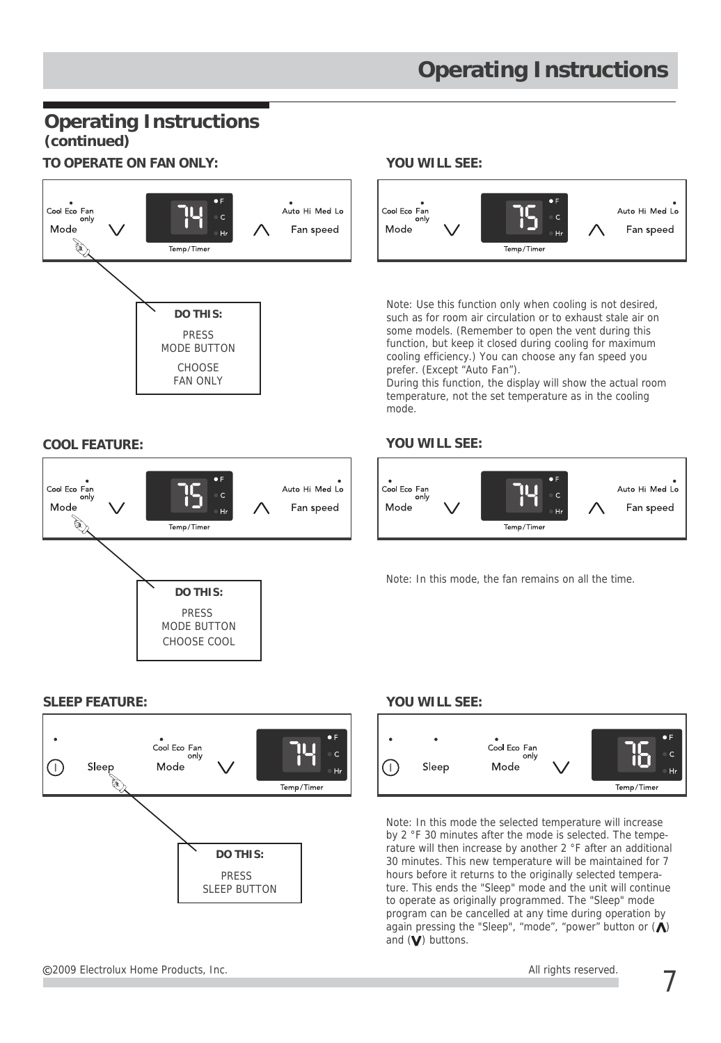# **TO OPERATE ON FAN ONLY: YOU WILL SEE:**



Auto Hi Med Lo

Fan speed

cooling efficiency.) You can choose any fan speed you prefer. (Except "Auto Fan"). During this function, the display will show the actual room

temperature, not the set temperature as in the cooling mode.

### **COOL FEATURE: YOU WILL SEE:**



Note: In this mode, the fan remains on all the time.

#### **SLEEP FEATURE:**

Cool Eco Fan

 $\mathbb{Z}$ 

Mode



CHOOSE COOL

**DO THIS:** PRESS MODE BUTTON

Temn/Timer

**CHOOSE** FAN ONLY

# **YOU WILL SEE:**



Note: In this mode the selected temperature will increase by 2 °F 30 minutes after the mode is selected. The temperature will then increase by another 2 °F after an additional 30 minutes. This new temperature will be maintained for 7 hours before it returns to the originally selected temperature. This ends the "Sleep" mode and the unit will continue to operate as originally programmed. The "Sleep" mode program can be cancelled at any time during operation by again pressing the "Sleep", "mode", "power" button or  $($ and  $(\mathbf V)$  buttons.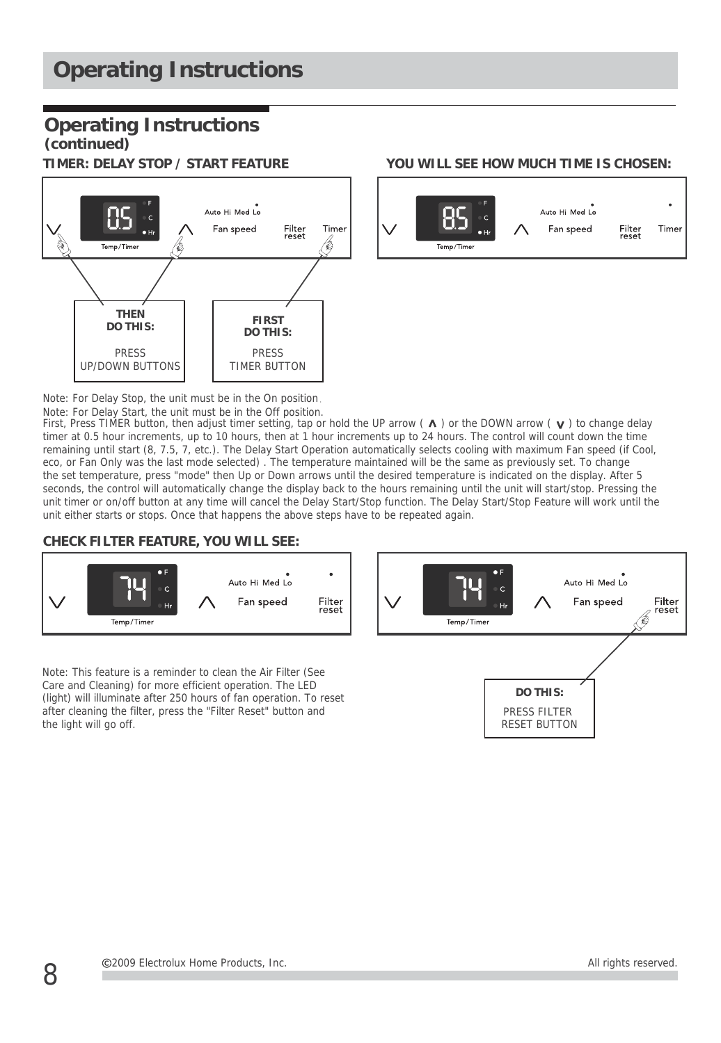

#### **TIMER: DELAY STOP / START FEATURE YOU WILL SEE HOW MUCH TIME IS CHOSEN:**



Note: For Delay Stop, the unit must be in the On position

Note: For Delay Start, the unit must be in the Off position.<br>First, Press TIMER button, then adjust timer setting, tap or hold the UP arrow ( A ) or the DOWN arrow ( **v** ) to change delay timer at 0.5 hour increments, up to 10 hours, then at 1 hour increments up to 24 hours. The control will count down the time remaining until start (8, 7.5, 7, etc.). The Delay Start Operation automatically selects cooling with maximum Fan speed (if Cool, eco, or Fan Only was the last mode selected) . The temperature maintained will be the same as previously set. To change the set temperature, press "mode" then Up or Down arrows until the desired temperature is indicated on the display. After 5 seconds, the control will automatically change the display back to the hours remaining until the unit will start/stop. Pressing the unit timer or on/off button at any time will cancel the Delay Start/Stop function. The Delay Start/Stop Feature will work until the unit either starts or stops. Once that happens the above steps have to be repeated again.

#### **CHECK FILTER FEATURE, YOU WILL SEE:**



Note: This feature is a reminder to clean the Air Filter (See Care and Cleaning) for more efficient operation. The LED (light) will illuminate after 250 hours of fan operation. To reset after cleaning the filter, press the "Filter Reset" button and the light will go off.

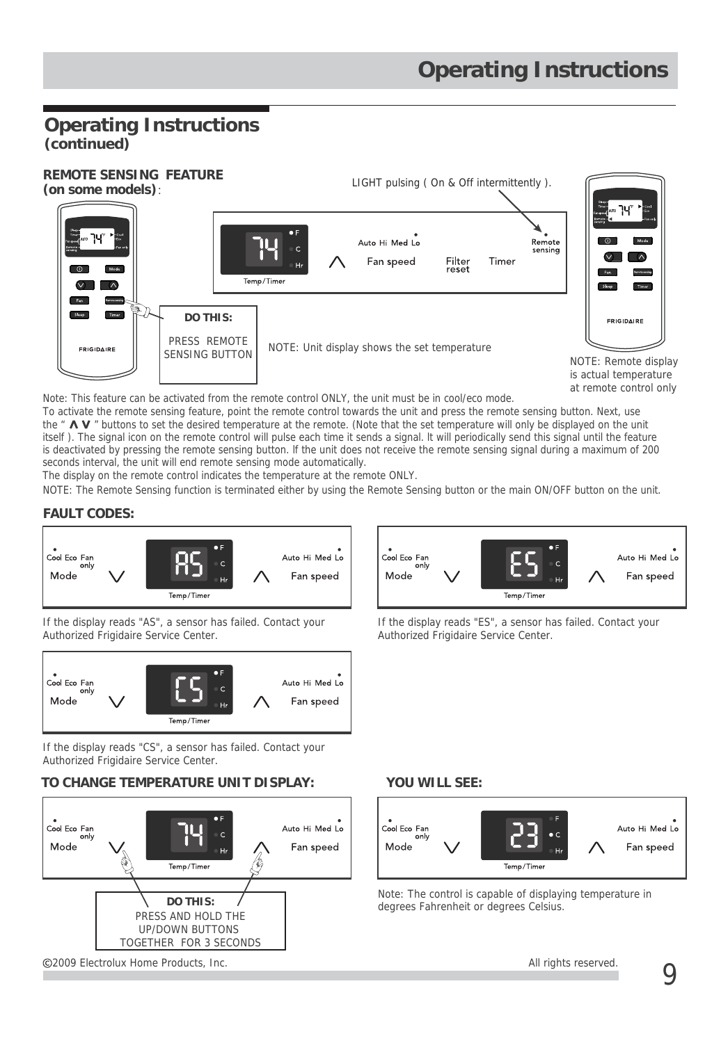

Note: This feature can be activated from the remote control ONLY, the unit must be in cool/eco mode.

To activate the remote sensing feature, point the remote control towards the unit and press the remote sensing button. Next, use the " $\Lambda$  V" buttons to set the desired temperature at the remote. (Note that the set temperature will only be displayed on the unit itself ). The signal icon on the remote control will pulse each time it sends a signal. lt will periodically send this signal until the feature is deactivated by pressing the remote sensing button. lf the unit does not receive the remote sensing signal during a maximum of 200 seconds interval, the unit will end remote sensing mode automatically.

The display on the remote control indicates the temperature at the remote ONLY.

NOTE: The Remote Sensing function is terminated either by using the Remote Sensing button or the main ON/OFF button on the unit.

#### **FAULT CODES:**



If the display reads "AS", a sensor has failed. Contact your Authorized Frigidaire Service Center.



If the display reads "CS", a sensor has failed. Contact your Authorized Frigidaire Service Center.

#### **TO CHANGE TEMPERATURE UNIT DISPLAY:**



2009 Electrolux Home Products, Inc. All rights reserved.



If the display reads "ES", a sensor has failed. Contact your Authorized Frigidaire Service Center.

#### **YOU WILL SEE:**



Note: The control is capable of displaying temperature in degrees Fahrenheit or degrees Celsius.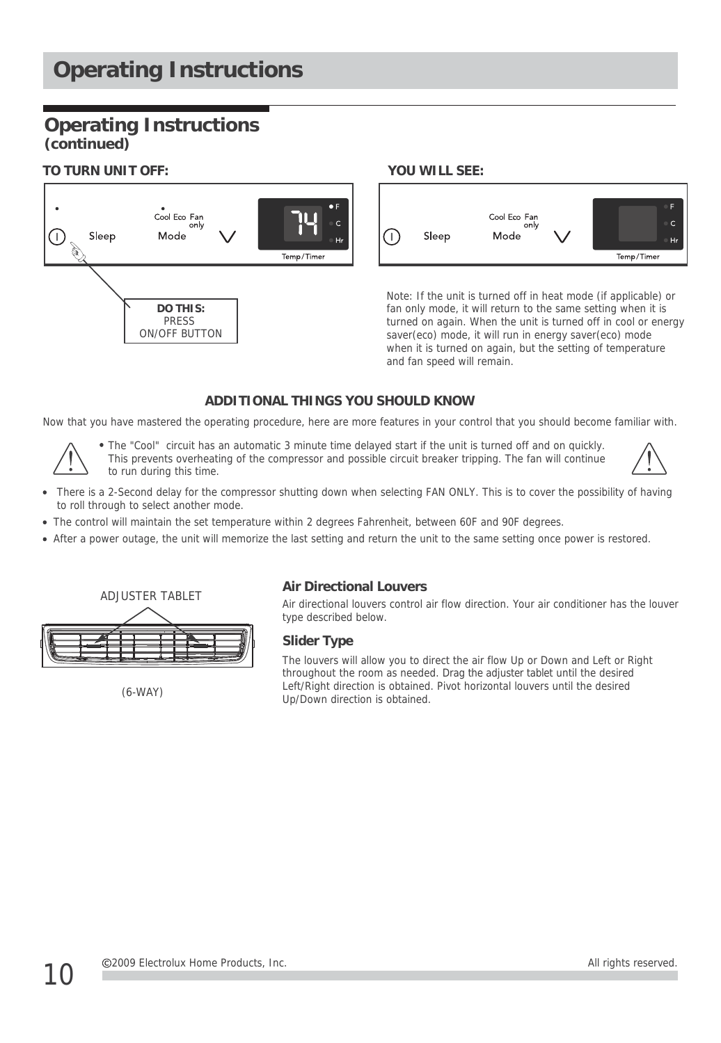# **Operating Instructions**

# **Operating Instructions (continued)**

#### **TO TURN UNIT OFF: YOU WILL SEE:**





Note: If the unit is turned off in heat mode (if applicable) or fan only mode, it will return to the same setting when it is turned on again. When the unit is turned off in cool or energy saver(eco) mode, it will run in energy saver(eco) mode when it is turned on again, but the setting of temperature and fan speed will remain.

#### **ADDITIONAL THINGS YOU SHOULD KNOW**

Now that you have mastered the operating procedure, here are more features in your control that you should become familiar with.



The "Cool" circuit has an automatic 3 minute time delayed start if the unit is turned off and on quickly. This prevents overheating of the compressor and possible circuit breaker tripping. The fan will continue to run during this time.

- There is a 2-Second delay for the compressor shutting down when selecting FAN ONLY. This is to cover the possibility of having to roll through to select another mode.
- The control will maintain the set temperature within 2 degrees Fahrenheit, between 60F and 90F degrees.
- After a power outage, the unit will memorize the last setting and return the unit to the same setting once power is restored.



(6-WAY)

#### **Air Directional Louvers**

Air directional louvers control air flow direction. Your air conditioner has the louver type described below.

#### **Slider Type**

The louvers will allow you to direct the air flow Up or Down and Left or Right throughout the room as needed. Drag the adjuster tablet until the desired Left/Right direction is obtained. Pivot horizontal louvers until the desired Up/Down direction is obtained.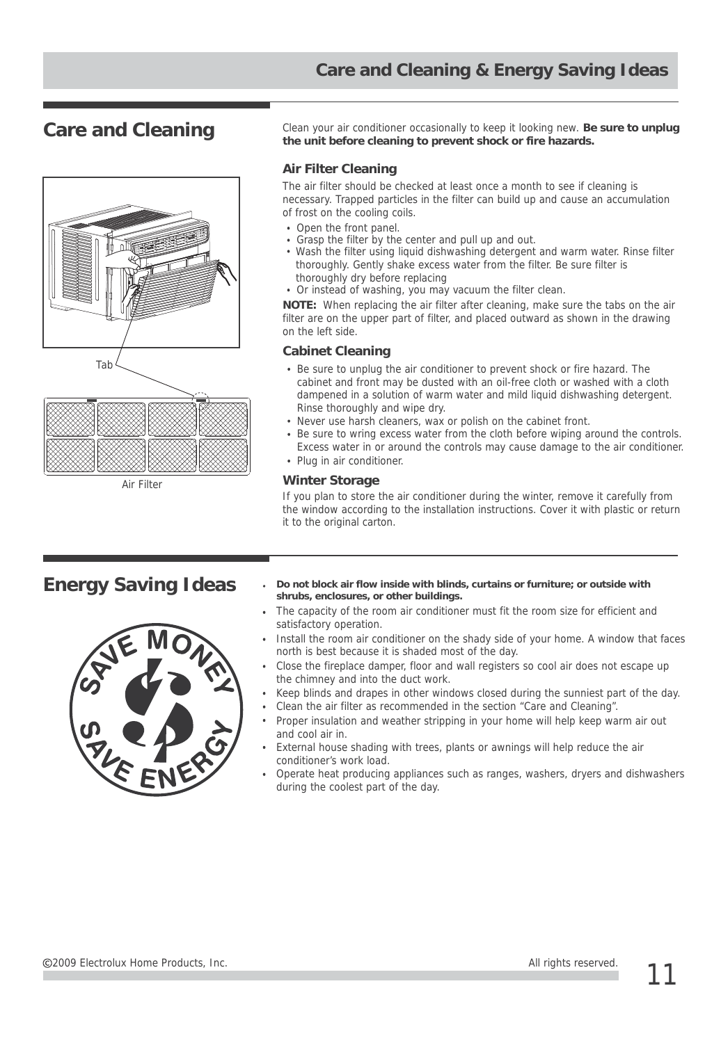

Air Filter

Care and Cleaning Clean your air conditioner occasionally to keep it looking new. Be sure to unplug **the unit before cleaning to prevent shock or fire hazards.**

#### **Air Filter Cleaning**

The air filter should be checked at least once a month to see if cleaning is necessary. Trapped particles in the filter can build up and cause an accumulation of frost on the cooling coils.

- Open the front panel.
- Grasp the filter by the center and pull up and out.
- Wash the filter using liquid dishwashing detergent and warm water. Rinse filter thoroughly. Gently shake excess water from the filter. Be sure filter is thoroughly dry before replacing
- Or instead of washing, you may vacuum the filter clean.

**NOTE:** When replacing the air filter after cleaning, make sure the tabs on the air filter are on the upper part of filter, and placed outward as shown in the drawing on the left side.

#### **Cabinet Cleaning**

- Be sure to unplug the air conditioner to prevent shock or fire hazard. The cabinet and front may be dusted with an oil-free cloth or washed with a cloth dampened in a solution of warm water and mild liquid dishwashing detergent. Rinse thoroughly and wipe dry.
- Never use harsh cleaners, wax or polish on the cabinet front.
- Be sure to wring excess water from the cloth before wiping around the controls. Excess water in or around the controls may cause damage to the air conditioner.
- Plug in air conditioner.

#### **Winter Storage**

If you plan to store the air conditioner during the winter, remove it carefully from the window according to the installation instructions. Cover it with plastic or return it to the original carton.



- **Energy Saving Ideas**  $\cdot$  Do not block air flow inside with blinds, curtains or furniture; or outside with **shrubs, enclosures, or other buildings.**
	- The capacity of the room air conditioner must fit the room size for efficient and satisfactory operation.
	- Install the room air conditioner on the shady side of your home. A window that faces north is best because it is shaded most of the day.
	- Close the fireplace damper, floor and wall registers so cool air does not escape up the chimney and into the duct work.
	- Keep blinds and drapes in other windows closed during the sunniest part of the day.
	- Clean the air filter as recommended in the section "Care and Cleaning".
	- Proper insulation and weather stripping in your home will help keep warm air out and cool air in.
	- External house shading with trees, plants or awnings will help reduce the air conditioner's work load.
	- Operate heat producing appliances such as ranges, washers, dryers and dishwashers during the coolest part of the day.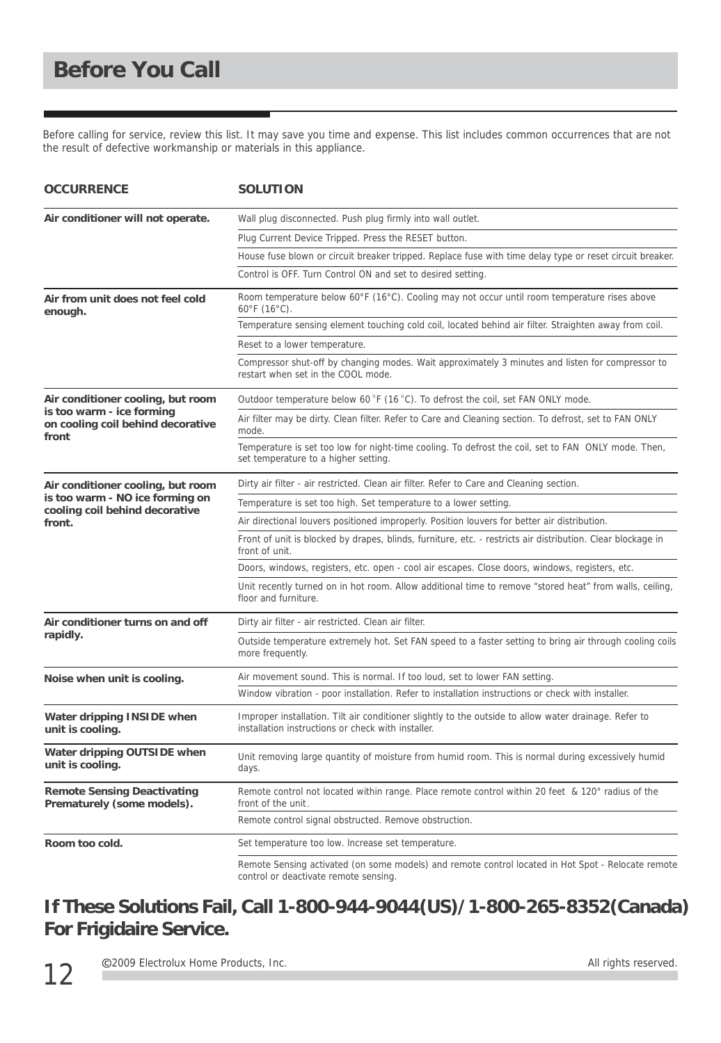Before calling for service, review this list. It may save you time and expense. This list includes common occurrences that are not the result of defective workmanship or materials in this appliance.

| <b>OCCURRENCE</b>                                                                                                | <b>SOLUTION</b>                                                                                                                                             |
|------------------------------------------------------------------------------------------------------------------|-------------------------------------------------------------------------------------------------------------------------------------------------------------|
| Air conditioner will not operate.                                                                                | Wall plug disconnected. Push plug firmly into wall outlet.                                                                                                  |
|                                                                                                                  | Plug Current Device Tripped. Press the RESET button.                                                                                                        |
|                                                                                                                  | House fuse blown or circuit breaker tripped. Replace fuse with time delay type or reset circuit breaker.                                                    |
|                                                                                                                  | Control is OFF. Turn Control ON and set to desired setting.                                                                                                 |
| Air from unit does not feel cold<br>enough.                                                                      | Room temperature below 60°F (16°C). Cooling may not occur until room temperature rises above<br>60°F (16°C).                                                |
|                                                                                                                  | Temperature sensing element touching cold coil, located behind air filter. Straighten away from coil.                                                       |
|                                                                                                                  | Reset to a lower temperature.                                                                                                                               |
|                                                                                                                  | Compressor shut-off by changing modes. Wait approximately 3 minutes and listen for compressor to<br>restart when set in the COOL mode.                      |
| Air conditioner cooling, but room<br>is too warm - ice forming<br>on cooling coil behind decorative<br>front     | Outdoor temperature below 60 °F (16 °C). To defrost the coil, set FAN ONLY mode.                                                                            |
|                                                                                                                  | Air filter may be dirty. Clean filter. Refer to Care and Cleaning section. To defrost, set to FAN ONLY<br>mode.                                             |
|                                                                                                                  | Temperature is set too low for night-time cooling. To defrost the coil, set to FAN ONLY mode. Then,<br>set temperature to a higher setting.                 |
| Air conditioner cooling, but room<br>is too warm - NO ice forming on<br>cooling coil behind decorative<br>front. | Dirty air filter - air restricted. Clean air filter. Refer to Care and Cleaning section.                                                                    |
|                                                                                                                  | Temperature is set too high. Set temperature to a lower setting.                                                                                            |
|                                                                                                                  | Air directional louvers positioned improperly. Position louvers for better air distribution.                                                                |
|                                                                                                                  | Front of unit is blocked by drapes, blinds, furniture, etc. - restricts air distribution. Clear blockage in<br>front of unit.                               |
|                                                                                                                  | Doors, windows, registers, etc. open - cool air escapes. Close doors, windows, registers, etc.                                                              |
|                                                                                                                  | Unit recently turned on in hot room. Allow additional time to remove "stored heat" from walls, ceiling,<br>floor and furniture.                             |
| Air conditioner turns on and off<br>rapidly.                                                                     | Dirty air filter - air restricted. Clean air filter.                                                                                                        |
|                                                                                                                  | Outside temperature extremely hot. Set FAN speed to a faster setting to bring air through cooling coils<br>more frequently.                                 |
| Noise when unit is cooling.                                                                                      | Air movement sound. This is normal. If too loud, set to lower FAN setting.                                                                                  |
|                                                                                                                  | Window vibration - poor installation. Refer to installation instructions or check with installer.                                                           |
| Water dripping INSIDE when<br>unit is cooling.                                                                   | Improper installation. Tilt air conditioner slightly to the outside to allow water drainage. Refer to<br>installation instructions or check with installer. |
| Water dripping OUTSIDE when<br>unit is cooling.                                                                  | Unit removing large quantity of moisture from humid room. This is normal during excessively humid<br>days.                                                  |
| <b>Remote Sensing Deactivating</b><br>Prematurely (some models).                                                 | Remote control not located within range. Place remote control within 20 feet & 120° radius of the<br>front of the unit.                                     |
|                                                                                                                  | Remote control signal obstructed. Remove obstruction.                                                                                                       |
| Room too cold.                                                                                                   | Set temperature too low. Increase set temperature.                                                                                                          |
|                                                                                                                  | Remote Sensing activated (on some models) and remote control located in Hot Spot - Relocate remote<br>control or deactivate remote sensing.                 |

# **If These Solutions Fail, Call 1-800-944-9044(US)/1-800-265-8352(Canada) For Frigidaire Service.**

C2009 Electrolux Home Products, Inc. All rights reserved.